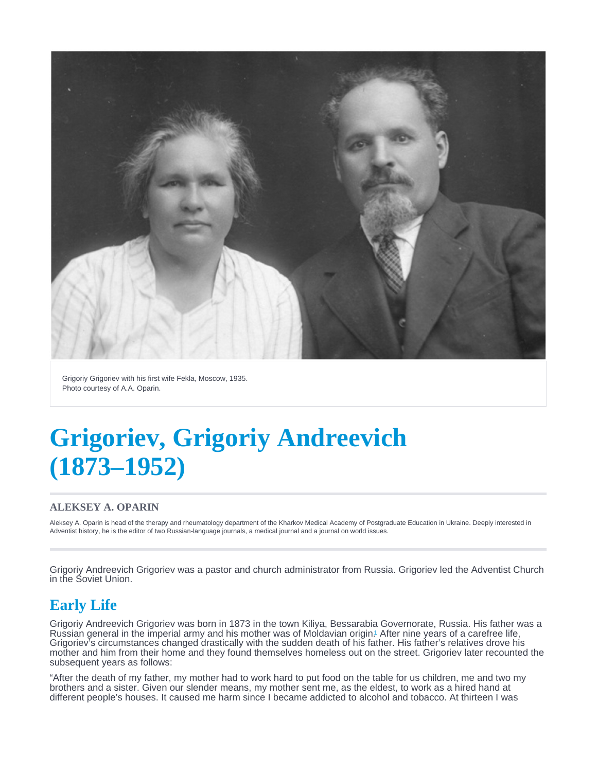<span id="page-0-0"></span>Grigoriy Grigoriev with his first wife Fekla, Moscow, 1935. Photo courtesy of A.A. Oparin.

# Grigoriev, Grigoriy Andreevich (1873–1952)

#### ALEKSEY A. OPARIN

Aleksey A. Oparin is head of the therapy and rheumatology department of the Kharkov Medical Academy of Postgraduate Education in Ukraine. Deeply interested in Adventist history, he is the editor of two Russian-language journals, a medical journal and a journal on world issues.

Grigoriy Andreevich Grigoriev was a pastor and church administrator from Russia. Grigoriev led the Adventist Church in the Soviet Union.

## Early Life

Grigoriy Andreevich Grigoriev was born in 1873 in the town Kiliya, Bessarabia Governorate, Russia. His father was a Russian general in the imperial army and his mother was of Moldavian origin[.](#page-2-0) After nine years of a carefree life, 1 Grigoriev's circumstances changed drastically with the sudden death of his father. His father's relatives drove his mother and him from their home and they found themselves homeless out on the street. Grigoriev later recounted the subsequent years as follows:

"After the death of my father, my mother had to work hard to put food on the table for us children, me and two my brothers and a sister. Given our slender means, my mother sent me, as the eldest, to work as a hired hand at different people's houses. It caused me harm since I became addicted to alcohol and tobacco. At thirteen I was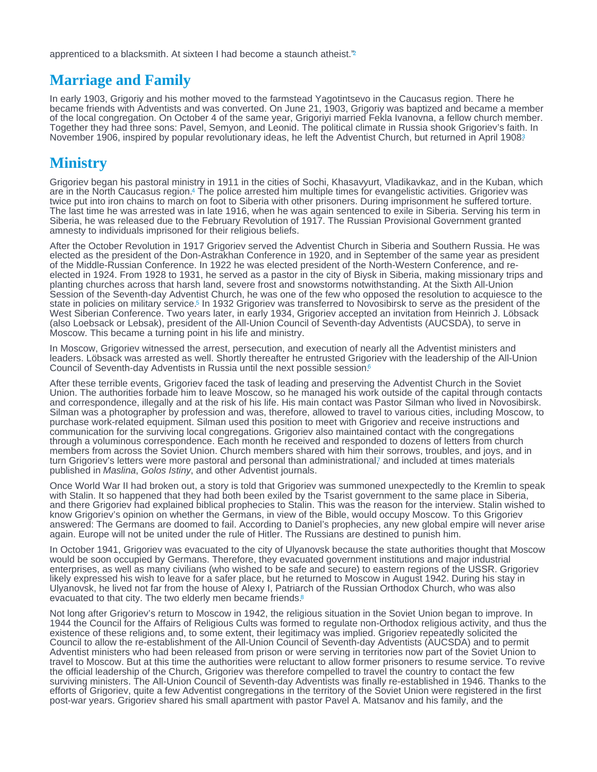<span id="page-1-0"></span>apprenticed to a blacksmith. At sixteen I had become a staunch atheist."<sup>2</sup>

#### Marriage and Family

In early 1903, Grigoriy and his mother moved to the farmstead Yagotintsevo in the Caucasus region. There he became friends with Adventists and was converted. On June 21, 1903, Grigoriy was baptized and became a member of the local congregation. On October 4 of the same year, Grigoriyi married Fekla Ivanovna, a fellow church member. Together they had three sons: Pavel, Semyon, and Leonid. The political climate in Russia shook Grigoriev's faith. In November 1906, inspired by popular revolutionary ideas, he left the Adventist Church, but returned in April 1908?

## **Ministry**

Grigoriev began his pastoral ministry in 1911 in the cities of Sochi, Khasavyurt, Vladikavkaz, and in the Kuban, which are in the North Caucasus region[.](#page-3-0)4 The police arrested him multiple times for evangelistic activities. Grigoriev was twice put into iron chains to march on foot to Siberia with other prisoners. During imprisonment he suffered torture. The last time he was arrested was in late 1916, when he was again sentenced to exile in Siberia. Serving his term in Siberia, he was released due to the February Revolution of 1917. The Russian Provisional Government granted amnesty to individuals imprisoned for their religious beliefs.

After the October Revolution in 1917 Grigoriev served the Adventist Church in Siberia and Southern Russia. He was elected as the president of the Don-Astrakhan Conference in 1920, and in September of the same year as president of the Middle-Russian Conference. In 1922 he was elected president of the North-Western Conference, and reelected in 1924. From 1928 to 1931, he served as a pastor in the city of Biysk in Siberia, making missionary trips and planting churches across that harsh land, severe frost and snowstorms notwithstanding. At the Sixth All-Union Session of the Seventh-day Adventist Church, he was one of the few who opposed the resolution to acquiesce to the state in policies on military service[.](#page-3-0)<sup>5</sup> In 1932 Grigoriev was transferred to Novosibirsk to serve as the president of the West Siberian Conference. Two years later, in early 1934, Grigoriev accepted an invitation from Heinrich J. Löbsack (also Loebsack or Lebsak), president of the All-Union Council of Seventh-day Adventists (AUCSDA), to serve in Moscow. This became a turning point in his life and ministry.

In Moscow, Grigoriev witnessed the arrest, persecution, and execution of nearly all the Adventist ministers and leaders. Löbsack was arrested as well. Shortly thereafter he entrusted Grigoriev with the leadership of the All-Union Council of Seventh-day Adventists in Russia until the next possible session.<sup>[6](#page-3-0)</sup>

After these terrible events, Grigoriev faced the task of leading and preserving the Adventist Church in the Soviet Union. The authorities forbade him to leave Moscow, so he managed his work outside of the capital through contacts and correspondence, illegally and at the risk of his life. His main contact was Pastor Silman who lived in Novosibirsk. Silman was a photographer by profession and was, therefore, allowed to travel to various cities, including Moscow, to purchase work-related equipment. Silman used this position to meet with Grigoriev and receive instructions and communication for the surviving local congregations. Grigoriev also maintained contact with the congregations through a voluminous correspondence. Each month he received and responded to dozens of letters from church members from across the Soviet Union. Church members shared with him their sorrows, troubles, and joys, and in turn Grigoriev's letters were more pastoral and personal than administrational[,](#page-3-0) and included at times materials published in Maslina, Golos Istiny, and other Adventist journals.

Once World War II had broken out, a story is told that Grigoriev was summoned unexpectedly to the Kremlin to speak with Stalin. It so happened that they had both been exiled by the Tsarist government to the same place in Siberia, and there Grigoriev had explained biblical prophecies to Stalin. This was the reason for the interview. Stalin wished to know Grigoriev's opinion on whether the Germans, in view of the Bible, would occupy Moscow. To this Grigoriev answered: The Germans are doomed to fail. According to Daniel's prophecies, any new global empire will never arise again. Europe will not be united under the rule of Hitler. The Russians are destined to punish him.

In October 1941, Grigoriev was evacuated to the city of Ulyanovsk because the state authorities thought that Moscow would be soon occupied by Germans. Therefore, they evacuated government institutions and major industrial enterprises, as well as many civilians (who wished to be safe and secure) to eastern regions of the USSR. Grigoriev likely expressed his wish to leave for a safer place, but he returned to Moscow in August 1942. During his stay in Ulyanovsk, he lived not far from the house of Alexy I, Patriarch of the Russian Orthodox Church, who was also evacuated to that city. The two elderly men became friends.<sup>[8](#page-3-0)</sup>

Not long after Grigoriev's return to Moscow in 1942, the religious situation in the Soviet Union began to improve. In 1944 the Council for the Affairs of Religious Cults was formed to regulate non-Orthodox religious activity, and thus the existence of these religions and, to some extent, their legitimacy was implied. Grigoriev repeatedly solicited the Council to allow the re-establishment of the All-Union Council of Seventh-day Adventists (AUCSDA) and to permit Adventist ministers who had been released from prison or were serving in territories now part of the Soviet Union to travel to Moscow. But at this time the authorities were reluctant to allow former prisoners to resume service. To revive the official leadership of the Church, Grigoriev was therefore compelled to travel the country to contact the few surviving ministers. The All-Union Council of Seventh-day Adventists was finally re-established in 1946. Thanks to the efforts of Grigoriev, quite a few Adventist congregations in the territory of the Soviet Union were registered in the first post-war years. Grigoriev shared his small apartment with pastor Pavel A. Matsanov and his family, and the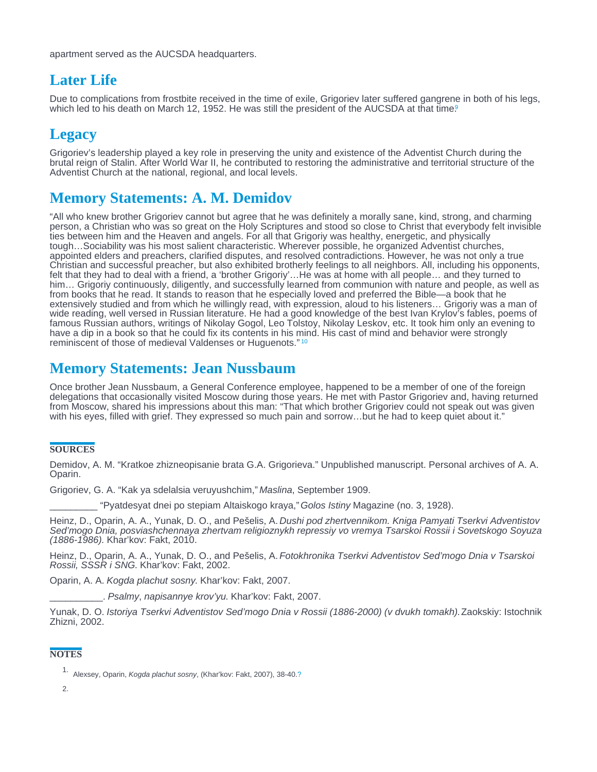<span id="page-2-0"></span>apartment served as the AUCSDA headquarters.

## Later Life

Due to complications from frostbite received in the time of exile, Grigoriev later suffered gangrene in both of his legs, which led to his death on March 12, 1[9](#page-3-0)52. He was still the president of the AUCSDA at that time.

## **Legacy**

Grigoriev's leadership played a key role in preserving the unity and existence of the Adventist Church during the brutal reign of Stalin. After World War II, he contributed to restoring the administrative and territorial structure of the Adventist Church at the national, regional, and local levels.

# Memory Statements: A. M. Demidov

"All who knew brother Grigoriev cannot but agree that he was definitely a morally sane, kind, strong, and charming person, a Christian who was so great on the Holy Scriptures and stood so close to Christ that everybody felt invisible ties between him and the Heaven and angels. For all that Grigoriy was healthy, energetic, and physically tough…Sociability was his most salient characteristic. Wherever possible, he organized Adventist churches, appointed elders and preachers, clarified disputes, and resolved contradictions. However, he was not only a true Christian and successful preacher, but also exhibited brotherly feelings to all neighbors. All, including his opponents, felt that they had to deal with a friend, a 'brother Grigoriy'…He was at home with all people… and they turned to him... Grigoriy continuously, diligently, and successfully learned from communion with nature and people, as well as from books that he read. It stands to reason that he especially loved and preferred the Bible—a book that he extensively studied and from which he willingly read, with expression, aloud to his listeners… Grigoriy was a man of wide reading, well versed in Russian literature. He had a good knowledge of the best Ivan Krylov's fables, poems of famous Russian authors, writings of Nikolay Gogol, Leo Tolstoy, Nikolay Leskov, etc. It took him only an evening to have a dip in a book so that he could fix its contents in his mind. His cast of mind and behavior were strongly reminiscent of those of medieval Valdenses or Huguenots."<sup>[10](#page-3-0)</sup>

#### Memory Statements: Jean Nussbaum

Once brother Jean Nussbaum, a General Conference employee, happened to be a member of one of the foreign delegations that occasionally visited Moscow during those years. He met with Pastor Grigoriev and, having returned from Moscow, shared his impressions about this man: "That which brother Grigoriev could not speak out was given with his eyes, filled with grief. They expressed so much pain and sorrow…but he had to keep quiet about it."

#### **SOURCES**

Demidov, A. M. "Kratkoe zhizneopisanie brata G.A. Grigorieva." Unpublished manuscript. Personal archives of A. A. Oparin.

Grigoriev, G. A. "Kak ya sdelalsia veruyushchim," Maslina, September 1909.

\_\_\_\_\_\_\_\_\_ "Pyatdesyat dnei po stepiam Altaiskogo kraya," Golos Istiny Magazine (no. 3, 1928).

Heinz, D., Oparin, A. A., Yunak, D. O., and Pešelis, A. Dushi pod zhertvennikom. Kniga Pamyati Tserkvi Adventistov Sed'mogo Dnia, posviashchennaya zhertvam religioznykh repressiy vo vremya Tsarskoi Rossii i Sovetskogo Soyuza (1886-1986). Khar'kov: Fakt, 2010.

Heinz, D., Oparin, A. A., Yunak, D. O., and Pešelis, A. Fotokhronika Tserkvi Adventistov Sed'mogo Dnia v Tsarskoi Rossii, SSSR i SNG. Khar'kov: Fakt, 2002.

Oparin, A. A. Kogda plachut sosny. Khar'kov: Fakt, 2007.

\_\_\_\_\_\_\_\_\_\_. Psalmy, napisannye krov'yu. Khar'kov: Fakt, 2007.

Yunak, D. O. Istoriya Tserkvi Adventistov Sed'mogo Dnia v Rossii (1886-2000) (v dvukh tomakh). Zaokskiy: Istochnik Zhizni, 2002.

#### **NOTES**

<sup>1.</sup> Alexsey, Oparin, Kogda plachut sosny, (Khar'kov: Fakt, 2007), 38-40[.?](#page-0-0)